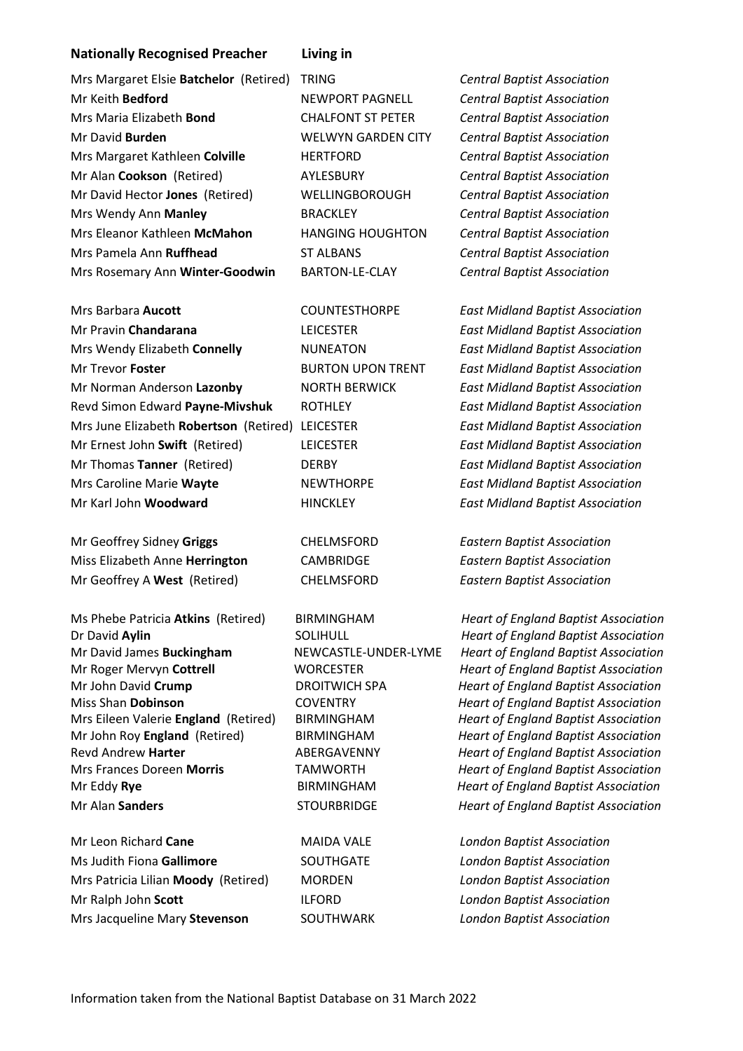## **Nationally Recognised Preacher Living in**

| Mrs Margaret Elsie Batchelor (Retired) |
|----------------------------------------|
| Mr Keith <b>Bedford</b>                |
| Mrs Maria Elizabeth <b>Bond</b>        |
| Mr David <b>Burden</b>                 |
| Mrs Margaret Kathleen Colville         |
| Mr Alan Cookson (Retired)              |
| Mr David Hector Jones (Retired)        |
| Mrs Wendy Ann <b>Manley</b>            |
| Mrs Eleanor Kathleen McMahon           |
| Mrs Pamela Ann <b>Ruffhead</b>         |
| Mrs Rosemary Ann Winter-Goodwin        |
|                                        |

Mr Pravin **Chandarana** LEICESTER *East Midland Baptist Association*  Mrs Wendy Elizabeth **Connelly** NUNEATON *East Midland Baptist Association*  Mr Trevor **Foster** BURTON UPON TRENT *East Midland Baptist Association*  Mr Norman Anderson **Lazonby** NORTH BERWICK *East Midland Baptist Association*  Revd Simon Edward **Payne-Mivshuk** ROTHLEY *East Midland Baptist Association*  Mrs June Elizabeth **Robertson** (Retired) LEICESTER *East Midland Baptist Association*  Mr Ernest John **Swift** (Retired) LEICESTER *East Midland Baptist Association*  Mr Thomas **Tanner** (Retired) DERBY *East Midland Baptist Association*  Mrs Caroline Marie **Wayte** NEWTHORPE *East Midland Baptist Association*  Mr Karl John **Woodward** HINCKLEY *East Midland Baptist Association* 

Mr Geoffrey Sidney **Griggs** CHELMSFORD *Eastern Baptist Association*  Miss Elizabeth Anne **Herrington** CAMBRIDGE *Eastern Baptist Association*  Mr Geoffrey A **West** (Retired) CHELMSFORD *Eastern Baptist Association*

Mr Roger Mervyn **Cottrell** WORCESTER *Heart of England Baptist Association*  Mr John David **Crump** DROITWICH SPA *Heart of England Baptist Association*  Miss Shan **Dobinson** COVENTRY *Heart of England Baptist Association*  Mrs Eileen Valerie **England** (Retired) BIRMINGHAM *Heart of England Baptist Association*  Mr John Roy **England** (Retired) BIRMINGHAM *Heart of England Baptist Association*  Revd Andrew **Harter ABERGAVENNY** *Heart of England Baptist Association ABERGAVENNY* Mrs Frances Doreen **Morris** TAMWORTH *Heart of England Baptist Association*  Mr Eddy **Rye** BIRMINGHAM *Heart of England Baptist Association* 

Mr Leon Richard **Cane** MAIDA VALE *London Baptist Association*  Ms Judith Fiona **Gallimore** SOUTHGATE *London Baptist Association*  Mrs Patricia Lilian **Moody** (Retired) MORDEN *London Baptist Association*  Mr Ralph John **Scott** ILFORD *London Baptist Association*  Mrs Jacqueline Mary **Stevenson** SOUTHWARK *London Baptist Association* 

Mrs Margaret Elsie **Batchelor** (Retired) TRING *Central Baptist Association*  Mr Keith **Bedford** NEWPORT PAGNELL *Central Baptist Association*  Mrs Maria Elizabeth **Bond** CHALFONT ST PETER *Central Baptist Association*  **WELWYN GARDEN CITY** *Central Baptist Association* Mrs Margaret Kathleen **Colville** HERTFORD *Central Baptist Association*  Mr Alan **Cookson** (Retired) AYLESBURY *Central Baptist Association*  Mr David Hector **Jones** (Retired) WELLINGBOROUGH *Central Baptist Association*  Mrs Wendy Ann **Manley** BRACKLEY *Central Baptist Association*  **HANGING HOUGHTON** *Central Baptist Association* Mrs Pamela Ann **Ruffhead** ST ALBANS *Central Baptist Association*  Mrs Rosemary Ann **Winter-Goodwin** BARTON-LE-CLAY *Central Baptist Association* 

Mrs Barbara **Aucott** COUNTESTHORPE *East Midland Baptist Association* 

Ms Phebe Patricia **Atkins** (Retired) BIRMINGHAM *Heart of England Baptist Association*  Dr David **Aylin** SOLIHULL *Heart of England Baptist Association*  Mr David James **Buckingham** NEWCASTLE-UNDER-LYME *Heart of England Baptist Association*  Mr Alan **Sanders** STOURBRIDGE *Heart of England Baptist Association*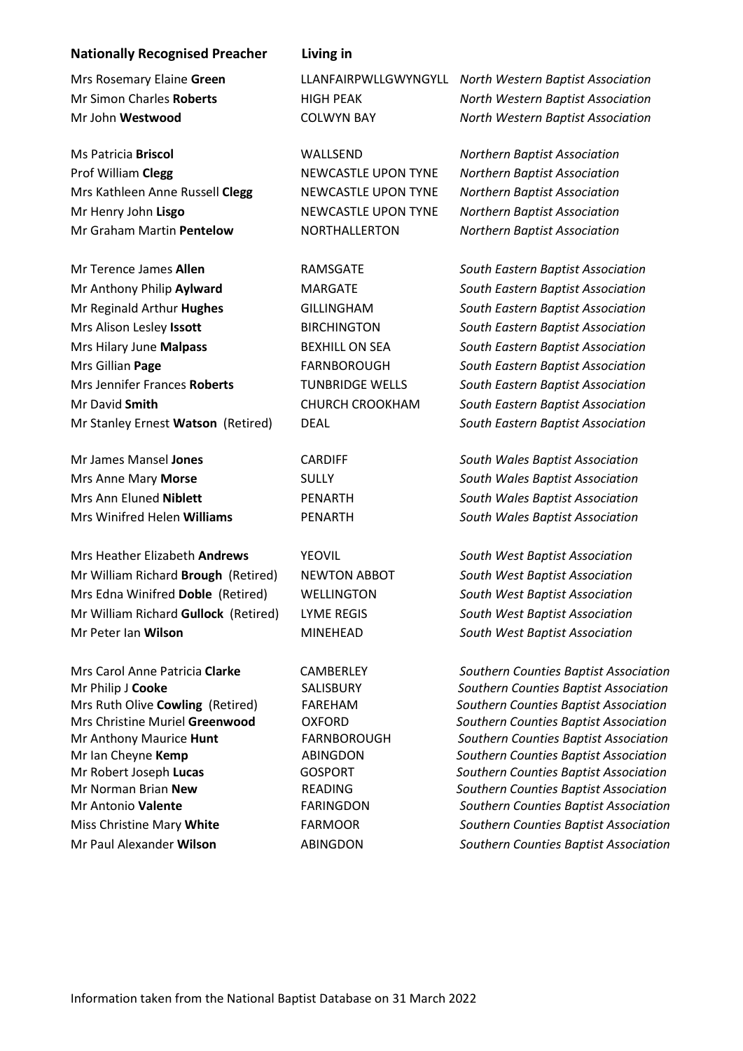## **Nationally Recognised Preacher Living in**

Prof William **Clegg** NEWCASTLE UPON TYNE *Northern Baptist Association*  Mrs Kathleen Anne Russell **Clegg** NEWCASTLE UPON TYNE *Northern Baptist Association*  Mr Henry John **Lisgo** NEWCASTLE UPON TYNE *Northern Baptist Association*  Mr Graham Martin **Pentelow** NORTHALLERTON *Northern Baptist Association* 

Mr Anthony Philip **Aylward** MARGATE *South Eastern Baptist Association*  Mr Reginald Arthur **Hughes** GILLINGHAM *South Eastern Baptist Association*  Mrs Alison Lesley **Issott** BIRCHINGTON *South Eastern Baptist Association*  Mrs Hilary June **Malpass** BEXHILL ON SEA *South Eastern Baptist Association*  Mrs Gillian **Page** FARNBOROUGH *South Eastern Baptist Association*  Mrs Jennifer Frances **Roberts** TUNBRIDGE WELLS *South Eastern Baptist Association*  Mr David **Smith** CHURCH CROOKHAM *South Eastern Baptist Association*  Mr Stanley Ernest **Watson** (Retired) DEAL *South Eastern Baptist Association* 

Mrs Anne Mary **Morse** SULLY *South Wales Baptist Association*  Mrs Ann Eluned **Niblett** PENARTH *South Wales Baptist Association*  Mrs Winifred Helen **Williams** PENARTH *South Wales Baptist Association* 

Mrs Heather Elizabeth **Andrews** YEOVIL *South West Baptist Association*  Mr William Richard **Brough** (Retired) NEWTON ABBOT *South West Baptist Association*  Mrs Edna Winifred **Doble** (Retired) WELLINGTON *South West Baptist Association*  Mr William Richard **Gullock** (Retired) LYME REGIS *South West Baptist Association*  Mr Peter Ian **Wilson** MINEHEAD *South West Baptist Association* 

Mrs Rosemary Elaine **Green** LLANFAIRPWLLGWYNGYLL *North Western Baptist Association*  Mr Simon Charles **Roberts** HIGH PEAK *North Western Baptist Association* Mr John **Westwood** COLWYN BAY *North Western Baptist Association* 

Ms Patricia **Briscol** WALLSEND *Northern Baptist Association* 

Mr Terence James **Allen** RAMSGATE *South Eastern Baptist Association* 

Mr James Mansel **Jones** CARDIFF *South Wales Baptist Association* 

Mrs Carol Anne Patricia **Clarke** CAMBERLEY *Southern Counties Baptist Association* Mr Philip J **Cooke** SALISBURY *Southern Counties Baptist Association*  Mrs Ruth Olive **Cowling** (Retired) FAREHAM *Southern Counties Baptist Association*  Mrs Christine Muriel **Greenwood** OXFORD *Southern Counties Baptist Association*  Mr Anthony Maurice **Hunt** FARNBOROUGH *Southern Counties Baptist Association*  Mr Ian Cheyne **Kemp** ABINGDON *Southern Counties Baptist Association*  Mr Robert Joseph **Lucas** GOSPORT *Southern Counties Baptist Association*  Mr Norman Brian **New** READING *Southern Counties Baptist Association*  Mr Antonio **Valente** FARINGDON *Southern Counties Baptist Association*  Miss Christine Mary **White** FARMOOR *Southern Counties Baptist Association*  Mr Paul Alexander **Wilson** ABINGDON *Southern Counties Baptist Association*